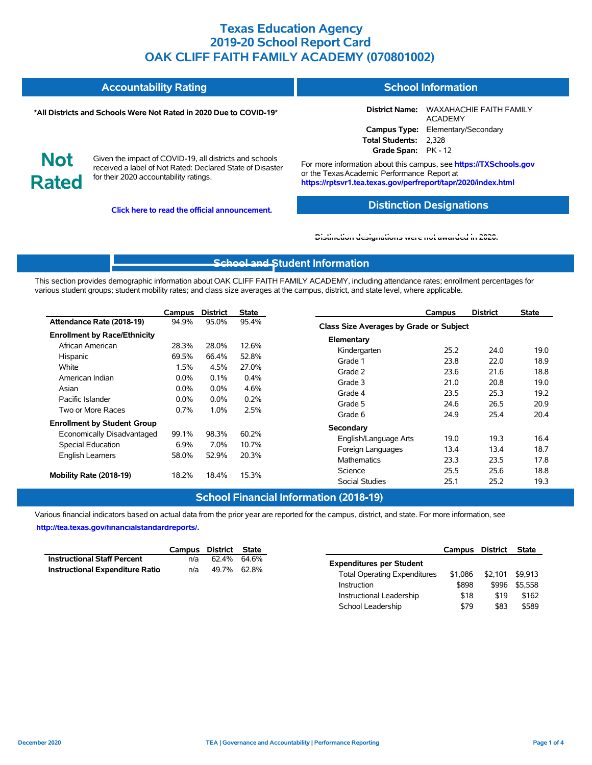|                            | <b>Accountability Rating</b>                                                                                                                                   | <b>School Information</b>                                                                                                                                                         |                                                          |  |  |  |  |
|----------------------------|----------------------------------------------------------------------------------------------------------------------------------------------------------------|-----------------------------------------------------------------------------------------------------------------------------------------------------------------------------------|----------------------------------------------------------|--|--|--|--|
|                            | *All Districts and Schools Were Not Rated in 2020 Due to COVID-19*                                                                                             |                                                                                                                                                                                   | District Name: WAXAHACHIE FAITH FAMILY<br><b>ACADEMY</b> |  |  |  |  |
|                            |                                                                                                                                                                |                                                                                                                                                                                   | Campus Type: Elementary/Secondary                        |  |  |  |  |
|                            |                                                                                                                                                                | Total Students: 2,328                                                                                                                                                             |                                                          |  |  |  |  |
|                            |                                                                                                                                                                | Grade Span: PK - 12                                                                                                                                                               |                                                          |  |  |  |  |
| <b>Not</b><br><b>Rated</b> | Given the impact of COVID-19, all districts and schools<br>received a label of Not Rated: Declared State of Disaster<br>for their 2020 accountability ratings. | For more information about this campus, see https://TXSchools.gov<br>or the Texas Academic Performance Report at<br>https://rptsvr1.tea.texas.gov/perfreport/tapr/2020/index.html |                                                          |  |  |  |  |

**Click here to read the official announcement.**

#### **Distinction Designations**

School Leadership  $$79$  \$83 \$589

#### **[Distinction designations were not awarded in 2020.](https://rptsvr1.tea.texas.gov/perfreport/tapr/2020/index.html)**

### **[School and S](https://tea.texas.gov/about-tea/news-and-multimedia/correspondence/taa-letters/every-student-succeeds-act-essa-waiver-approval-2020-state-academic-accountability)tudent Information**

This section provides demographic information about OAK CLIFF FAITH FAMILY ACADEMY, including attendance rates; enrollment percentages for various student groups; student mobility rates; and class size averages at the campus, district, and state level, where applicable.

|                                     | Campus                                           | <b>District</b>                            | <b>State</b>            | <b>District</b><br>Campus               | <b>State</b> |
|-------------------------------------|--------------------------------------------------|--------------------------------------------|-------------------------|-----------------------------------------|--------------|
| Attendance Rate (2018-19)           | 94.9%                                            | 95.0%                                      | 95.4%                   | Class Size Averages by Grade or Subject |              |
| <b>Enrollment by Race/Ethnicity</b> |                                                  |                                            |                         | Elementary                              |              |
| African American                    | 28.3%                                            | 28.0%                                      | 12.6%                   | Kindergarten<br>25.2<br>24.0            | 19.0         |
| Hispanic                            | 69.5%                                            | 66.4%                                      | 52.8%                   | Grade 1<br>23.8<br>22.0                 | 18.9         |
| White                               | 1.5%<br>4.5%<br>27.0%<br>$0.0\%$<br>0.1%<br>0.4% |                                            |                         | Grade 2<br>23.6<br>21.6                 | 18.8         |
| American Indian                     |                                                  |                                            |                         | Grade 3<br>21.0<br>20.8                 | 19.0         |
| Asian                               | $0.0\%$                                          | 4.6%<br>$0.0\%$<br>0.2%<br>$0.0\%$<br>0.0% |                         | Grade 4<br>23.5<br>25.3                 | 19.2         |
| Pacific Islander                    |                                                  |                                            | 24.6<br>26.5<br>Grade 5 | 20.9                                    |              |
| Two or More Races                   | 2.5%<br>$0.7\%$<br>1.0%                          |                                            |                         | 24.9<br>25.4<br>Grade 6                 | 20.4         |
| <b>Enrollment by Student Group</b>  |                                                  |                                            |                         |                                         |              |
| Economically Disadvantaged          | 99.1%                                            | 98.3%                                      | 60.2%                   | Secondary                               |              |
| Special Education                   | 6.9%                                             | 7.0%                                       | 10.7%                   | 19.0<br>19.3<br>English/Language Arts   | 16.4         |
| <b>English Learners</b>             | 58.0%                                            | 52.9%                                      | 20.3%                   | 13.4<br>13.4<br>Foreign Languages       | 18.7         |
|                                     |                                                  |                                            |                         | 23.5<br><b>Mathematics</b><br>23.3      | 17.8         |
| Mobility Rate (2018-19)             | 18.2%                                            | 18.4%                                      | 15.3%                   | 25.5<br>25.6<br>Science                 | 18.8         |
|                                     |                                                  |                                            |                         | <b>Social Studies</b><br>25.1<br>25.2   | 19.3         |

#### **School Financial Information (2018-19)**

Various financial indicators based on actual data from the prior year are reported for the campus, district, and state. For more information, see

**[http://tea.texas.gov/financialstandardreports/.](http://tea.texas.gov/financialstandardreports/)**

|                                        | Campus | District    | State |                                     | Campus  | District | <b>State</b> |
|----------------------------------------|--------|-------------|-------|-------------------------------------|---------|----------|--------------|
| <b>Instructional Staff Percent</b>     | n/a    | 62.4%       | 64.6% | <b>Expenditures per Student</b>     |         |          |              |
| <b>Instructional Expenditure Ratio</b> | n/a    | 49.7% 62.8% |       | <b>Total Operating Expenditures</b> | \$1.086 | \$2.101  | \$9.913      |
|                                        |        |             |       | Instruction                         | \$898   | \$996    | \$5.558      |
|                                        |        |             |       | Instructional Leadership            | \$18    | \$19     | \$162        |

Ĭ.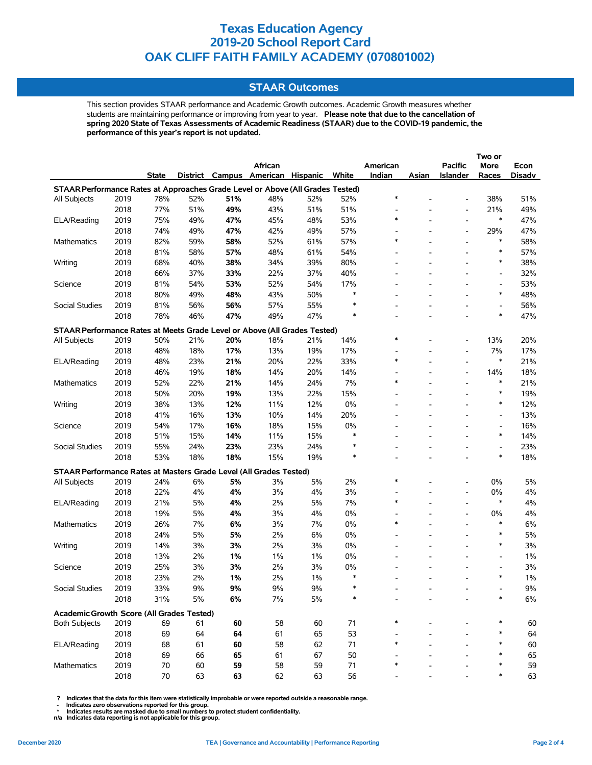### **STAAR Outcomes**

This section provides STAAR performance and Academic Growth outcomes. Academic Growth measures whether students are maintaining performance or improving from year to year. **Please note that due to the cancellation of spring 2020 State of Texas Assessments of Academic Readiness (STAAR) due to the COVID-19 pandemic, the performance of this year's report is not updated.**

|                                                                                    |      |        |          |     |                          |     |        |                          |                          |                          | Two or                   |        |
|------------------------------------------------------------------------------------|------|--------|----------|-----|--------------------------|-----|--------|--------------------------|--------------------------|--------------------------|--------------------------|--------|
|                                                                                    |      |        |          |     | African                  |     |        | American                 |                          | <b>Pacific</b>           | More                     | Econ   |
|                                                                                    |      | State  | District |     | Campus American Hispanic |     | White  | Indian                   | Asian                    | <b>Islander</b>          | Races                    | Disadv |
| STAAR Performance Rates at Approaches Grade Level or Above (All Grades Tested)     |      |        |          |     |                          |     |        |                          |                          |                          |                          |        |
| All Subjects                                                                       | 2019 | 78%    | 52%      | 51% | 48%                      | 52% | 52%    | $\ast$                   |                          | $\overline{a}$           | 38%                      | 51%    |
|                                                                                    | 2018 | 77%    | 51%      | 49% | 43%                      | 51% | 51%    | $\overline{\phantom{a}}$ |                          | $\overline{\phantom{a}}$ | 21%                      | 49%    |
| ELA/Reading                                                                        | 2019 | 75%    | 49%      | 47% | 45%                      | 48% | 53%    | $\ast$                   |                          | $\overline{a}$           | $\ast$                   | 47%    |
|                                                                                    | 2018 | 74%    | 49%      | 47% | 42%                      | 49% | 57%    |                          |                          | $\overline{a}$           | 29%                      | 47%    |
| Mathematics                                                                        | 2019 | 82%    | 59%      | 58% | 52%                      | 61% | 57%    | $\ast$                   |                          | $\overline{a}$           | $\ast$                   | 58%    |
|                                                                                    | 2018 | 81%    | 58%      | 57% | 48%                      | 61% | 54%    | $\overline{\phantom{a}}$ |                          | $\overline{\phantom{a}}$ | $\ast$                   | 57%    |
| Writing                                                                            | 2019 | 68%    | 40%      | 38% | 34%                      | 39% | 80%    | $\overline{\phantom{a}}$ |                          | $\overline{a}$           | $\ast$                   | 38%    |
|                                                                                    | 2018 | 66%    | 37%      | 33% | 22%                      | 37% | 40%    |                          |                          |                          | $\overline{\phantom{a}}$ | 32%    |
| Science                                                                            | 2019 | 81%    | 54%      | 53% | 52%                      | 54% | 17%    | L,                       |                          |                          | Ĭ.                       | 53%    |
|                                                                                    | 2018 | 80%    | 49%      | 48% | 43%                      | 50% | $\ast$ |                          |                          |                          | $\ast$                   | 48%    |
| Social Studies                                                                     | 2019 | 81%    | 56%      | 56% | 57%                      | 55% | *      |                          |                          | $\overline{a}$           | $\overline{\phantom{a}}$ | 56%    |
|                                                                                    | 2018 | 78%    | 46%      | 47% | 49%                      | 47% | $\ast$ | $\overline{\phantom{0}}$ |                          | $\overline{a}$           | $\ast$                   | 47%    |
| STAAR Performance Rates at Meets Grade Level or Above (All Grades Tested)          |      |        |          |     |                          |     |        |                          |                          |                          |                          |        |
| All Subjects                                                                       | 2019 | 50%    | 21%      | 20% | 18%                      | 21% | 14%    | $\ast$                   |                          | $\overline{a}$           | 13%                      | 20%    |
|                                                                                    | 2018 | 48%    | 18%      | 17% | 13%                      | 19% | 17%    | $\overline{\phantom{a}}$ |                          | $\overline{\phantom{0}}$ | 7%                       | 17%    |
| ELA/Reading                                                                        | 2019 | 48%    | 23%      | 21% | 20%                      | 22% | 33%    | $\ast$                   |                          | $\overline{\phantom{a}}$ | $\ast$                   | 21%    |
|                                                                                    | 2018 | 46%    | 19%      | 18% | 14%                      | 20% | 14%    | $\overline{\phantom{a}}$ |                          | $\overline{a}$           | 14%                      | 18%    |
| Mathematics                                                                        | 2019 | 52%    | 22%      | 21% | 14%                      | 24% | 7%     | $\ast$                   |                          | $\overline{\phantom{a}}$ | $\ast$                   | 21%    |
|                                                                                    | 2018 | 50%    | 20%      | 19% | 13%                      | 22% | 15%    | $\overline{\phantom{a}}$ |                          | $\overline{a}$           | $\ast$                   | 19%    |
| Writing                                                                            | 2019 | 38%    | 13%      | 12% | 11%                      | 12% | 0%     | L,                       |                          | $\overline{a}$           | $\ast$                   | 12%    |
|                                                                                    | 2018 | 41%    | 16%      | 13% | 10%                      | 14% | 20%    | $\blacksquare$           | $\overline{\phantom{a}}$ | $\overline{\phantom{a}}$ | $\overline{\phantom{a}}$ | 13%    |
| Science                                                                            | 2019 | 54%    | 17%      | 16% | 18%                      | 15% | 0%     | $\overline{a}$           |                          | -                        | $\overline{\phantom{a}}$ | 16%    |
|                                                                                    | 2018 | 51%    | 15%      | 14% | 11%                      | 15% | $\ast$ |                          |                          |                          | $\ast$                   | 14%    |
| Social Studies                                                                     | 2019 | 55%    | 24%      | 23% | 23%                      | 24% | ∗      | $\overline{a}$           |                          | $\overline{a}$           | $\overline{\phantom{a}}$ | 23%    |
|                                                                                    | 2018 | 53%    | 18%      | 18% | 15%                      | 19% | $\ast$ |                          |                          |                          | $\ast$                   | 18%    |
|                                                                                    |      |        |          |     |                          |     |        |                          |                          |                          |                          |        |
| STAAR Performance Rates at Masters Grade Level (All Grades Tested)<br>All Subjects | 2019 | 24%    | 6%       | 5%  | 3%                       | 5%  | 2%     | $\ast$                   |                          | $\overline{a}$           | 0%                       | 5%     |
|                                                                                    | 2018 | 22%    | 4%       | 4%  | 3%                       | 4%  | 3%     | $\overline{\phantom{a}}$ |                          | $\overline{a}$           | 0%                       | 4%     |
| ELA/Reading                                                                        | 2019 | 21%    | 5%       | 4%  | 2%                       | 5%  | 7%     | $\ast$                   |                          | $\overline{a}$           | $\ast$                   | 4%     |
|                                                                                    | 2018 | 19%    | 5%       | 4%  | 3%                       | 4%  | 0%     | $\overline{\phantom{a}}$ | $\overline{\phantom{a}}$ | $\overline{a}$           | 0%                       | 4%     |
| <b>Mathematics</b>                                                                 | 2019 | 26%    | 7%       | 6%  | 3%                       | 7%  | 0%     | $\ast$                   |                          | $\overline{\phantom{a}}$ | $\ast$                   | 6%     |
|                                                                                    | 2018 | 24%    | 5%       | 5%  | 2%                       | 6%  | 0%     | ٠                        |                          | $\overline{\phantom{a}}$ | $\ast$                   | 5%     |
| Writing                                                                            | 2019 | 14%    | 3%       | 3%  | 2%                       | 3%  | 0%     | $\overline{a}$           |                          | $\overline{a}$           | $\ast$                   | 3%     |
|                                                                                    | 2018 | 13%    | 2%       | 1%  | 1%                       | 1%  | 0%     | $\overline{a}$           |                          |                          | Ĭ.                       | $1\%$  |
| Science                                                                            | 2019 | 25%    | 3%       | 3%  | 2%                       | 3%  | 0%     |                          |                          | $\overline{\phantom{0}}$ | $\overline{\phantom{a}}$ | 3%     |
|                                                                                    | 2018 | 23%    | 2%       | 1%  | 2%                       | 1%  | $\ast$ |                          |                          | $\overline{a}$           | $\ast$                   | $1\%$  |
| Social Studies                                                                     | 2019 | 33%    | 9%       | 9%  | 9%                       | 9%  |        |                          |                          |                          |                          | $9\%$  |
|                                                                                    | 2018 | 31%    | $5%$     | 6%  | 7%                       | 5%  |        |                          |                          |                          |                          | $6\%$  |
|                                                                                    |      |        |          |     |                          |     |        |                          |                          |                          |                          |        |
| Academic Growth Score (All Grades Tested)                                          |      |        |          |     |                          |     |        |                          |                          |                          |                          |        |
| <b>Both Subjects</b>                                                               | 2019 | 69     | 61       | 60  | 58                       | 60  | 71     |                          |                          |                          |                          | 60     |
|                                                                                    | 2018 | 69     | 64       | 64  | 61                       | 65  | 53     |                          |                          |                          |                          | 64     |
| ELA/Reading                                                                        | 2019 | 68     | 61       | 60  | 58                       | 62  | 71     | $\ast$                   |                          |                          | *                        | 60     |
|                                                                                    | 2018 | 69     | 66       | 65  | 61                       | 67  | 50     |                          |                          |                          | $\ast$                   | 65     |
| Mathematics                                                                        | 2019 | 70     | 60       | 59  | 58                       | 59  | 71     | *                        |                          |                          | ∗                        | 59     |
|                                                                                    | 2018 | $70\,$ | 63       | 63  | 62                       | 63  | 56     |                          |                          |                          | $\ast$                   | 63     |

 **? Indicates that the data for this item were statistically improbable or were reported outside a reasonable range.**

 **- Indicates zero observations reported for this group. \* Indicates results are masked due to small numbers to protect student confidentiality.**

**n/a Indicates data reporting is not applicable for this group.**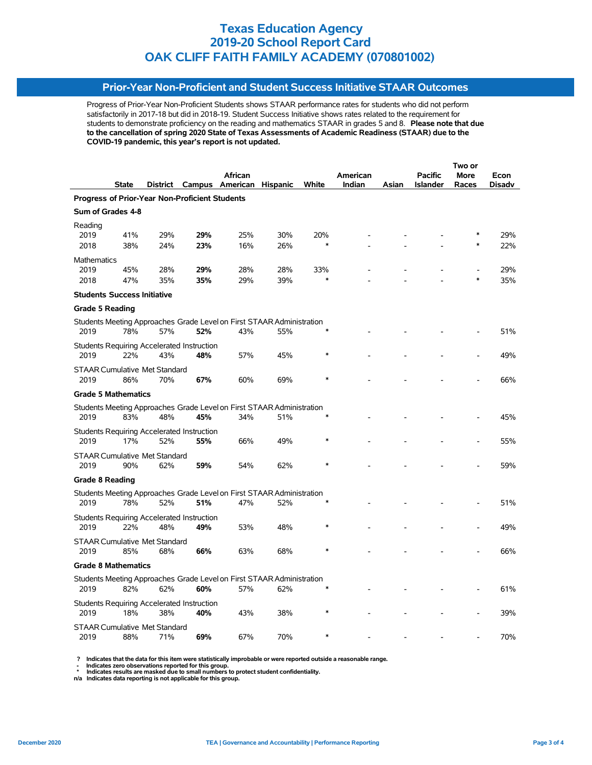### **Prior-Year Non-Proficient and Student Success Initiative STAAR Outcomes**

Progress of Prior-Year Non-Proficient Students shows STAAR performance rates for students who did not perform satisfactorily in 2017-18 but did in 2018-19. Student Success Initiative shows rates related to the requirement for students to demonstrate proficiency on the reading and mathematics STAAR in grades 5 and 8. **Please note that due to the cancellation of spring 2020 State of Texas Assessments of Academic Readiness (STAAR) due to the COVID-19 pandemic, this year's report is not updated.**

|                        |                                      |     |                                                |                          |                                                                       |        |          |       | Two or          |        |        |  |  |
|------------------------|--------------------------------------|-----|------------------------------------------------|--------------------------|-----------------------------------------------------------------------|--------|----------|-------|-----------------|--------|--------|--|--|
|                        |                                      |     |                                                | African                  |                                                                       |        | American |       | <b>Pacific</b>  | More   | Econ   |  |  |
|                        | <b>State</b>                         |     |                                                | District Campus American | <b>Hispanic</b>                                                       | White  | Indian   | Asian | <b>Islander</b> | Races  | Disadv |  |  |
|                        |                                      |     | Progress of Prior-Year Non-Proficient Students |                          |                                                                       |        |          |       |                 |        |        |  |  |
| Sum of Grades 4-8      |                                      |     |                                                |                          |                                                                       |        |          |       |                 |        |        |  |  |
| Reading                |                                      |     |                                                |                          |                                                                       |        |          |       |                 |        |        |  |  |
| 2019                   | 41%                                  | 29% | 29%                                            | 25%                      | 30%                                                                   | 20%    |          |       |                 |        | 29%    |  |  |
| 2018                   | 38%                                  | 24% | 23%                                            | 16%                      | 26%                                                                   | $\ast$ |          |       |                 |        | 22%    |  |  |
| <b>Mathematics</b>     |                                      |     |                                                |                          |                                                                       |        |          |       |                 |        |        |  |  |
| 2019                   | 45%                                  | 28% | 29%                                            | 28%                      | 28%                                                                   | 33%    |          |       |                 |        | 29%    |  |  |
| 2018                   | 47%                                  | 35% | 35%                                            | 29%                      | 39%                                                                   | ×      |          |       |                 | $\ast$ | 35%    |  |  |
|                        | <b>Students Success Initiative</b>   |     |                                                |                          |                                                                       |        |          |       |                 |        |        |  |  |
| <b>Grade 5 Reading</b> |                                      |     |                                                |                          |                                                                       |        |          |       |                 |        |        |  |  |
|                        |                                      |     |                                                |                          | Students Meeting Approaches Grade Level on First STAAR Administration |        |          |       |                 |        |        |  |  |
| 2019                   | 78%                                  | 57% | 52%                                            | 43%                      | 55%                                                                   |        |          |       |                 |        | 51%    |  |  |
|                        |                                      |     | Students Requiring Accelerated Instruction     |                          |                                                                       |        |          |       |                 |        |        |  |  |
| 2019                   | 22%                                  | 43% | 48%                                            | 57%                      | 45%                                                                   |        |          |       |                 |        | 49%    |  |  |
|                        | <b>STAAR Cumulative Met Standard</b> |     |                                                |                          |                                                                       |        |          |       |                 |        |        |  |  |
| 2019                   | 86%                                  | 70% | 67%                                            | 60%                      | 69%                                                                   |        |          |       |                 |        | 66%    |  |  |
|                        | <b>Grade 5 Mathematics</b>           |     |                                                |                          |                                                                       |        |          |       |                 |        |        |  |  |
|                        |                                      |     |                                                |                          | Students Meeting Approaches Grade Level on First STAAR Administration |        |          |       |                 |        |        |  |  |
| 2019                   | 83%                                  | 48% | 45%                                            | 34%                      | 51%                                                                   |        |          |       |                 |        | 45%    |  |  |
|                        |                                      |     | Students Requiring Accelerated Instruction     |                          |                                                                       |        |          |       |                 |        |        |  |  |
| 2019                   | 17%                                  | 52% | 55%                                            | 66%                      | 49%                                                                   |        |          |       |                 |        | 55%    |  |  |
|                        | <b>STAAR Cumulative Met Standard</b> |     |                                                |                          |                                                                       |        |          |       |                 |        |        |  |  |
| 2019                   | 90%                                  | 62% | 59%                                            | 54%                      | 62%                                                                   |        |          |       |                 |        | 59%    |  |  |
| <b>Grade 8 Reading</b> |                                      |     |                                                |                          |                                                                       |        |          |       |                 |        |        |  |  |
|                        |                                      |     |                                                |                          | Students Meeting Approaches Grade Level on First STAAR Administration |        |          |       |                 |        |        |  |  |
| 2019                   | 78%                                  | 52% | 51%                                            | 47%                      | 52%                                                                   |        |          |       |                 |        | 51%    |  |  |
|                        |                                      |     | Students Requiring Accelerated Instruction     |                          |                                                                       |        |          |       |                 |        |        |  |  |
| 2019                   | 22%                                  | 48% | 49%                                            | 53%                      | 48%                                                                   | $\ast$ |          |       |                 |        | 49%    |  |  |
|                        | <b>STAAR Cumulative Met Standard</b> |     |                                                |                          |                                                                       |        |          |       |                 |        |        |  |  |
| 2019                   | 85%                                  | 68% | 66%                                            | 63%                      | 68%                                                                   |        |          |       |                 |        | 66%    |  |  |
|                        | <b>Grade 8 Mathematics</b>           |     |                                                |                          |                                                                       |        |          |       |                 |        |        |  |  |
|                        |                                      |     |                                                |                          | Students Meeting Approaches Grade Level on First STAAR Administration |        |          |       |                 |        |        |  |  |
| 2019                   | 82%                                  | 62% | 60%                                            | 57%                      | 62%                                                                   |        |          |       |                 |        | 61%    |  |  |
|                        |                                      |     | Students Requiring Accelerated Instruction     |                          |                                                                       |        |          |       |                 |        |        |  |  |
| 2019                   | 18%                                  | 38% | 40%                                            | 43%                      | 38%                                                                   |        |          |       |                 |        | 39%    |  |  |
|                        | <b>STAAR Cumulative Met Standard</b> |     |                                                |                          |                                                                       |        |          |       |                 |        |        |  |  |
| 2019                   | 88%                                  | 71% | 69%                                            | 67%                      | 70%                                                                   |        |          |       |                 |        | 70%    |  |  |

 **? Indicates that the data for this item were statistically improbable or were reported outside a reasonable range.**

 **- Indicates zero observations reported for this group.**

 **\* Indicates results are masked due to small numbers to protect student confidentiality. n/a Indicates data reporting is not applicable for this group.**